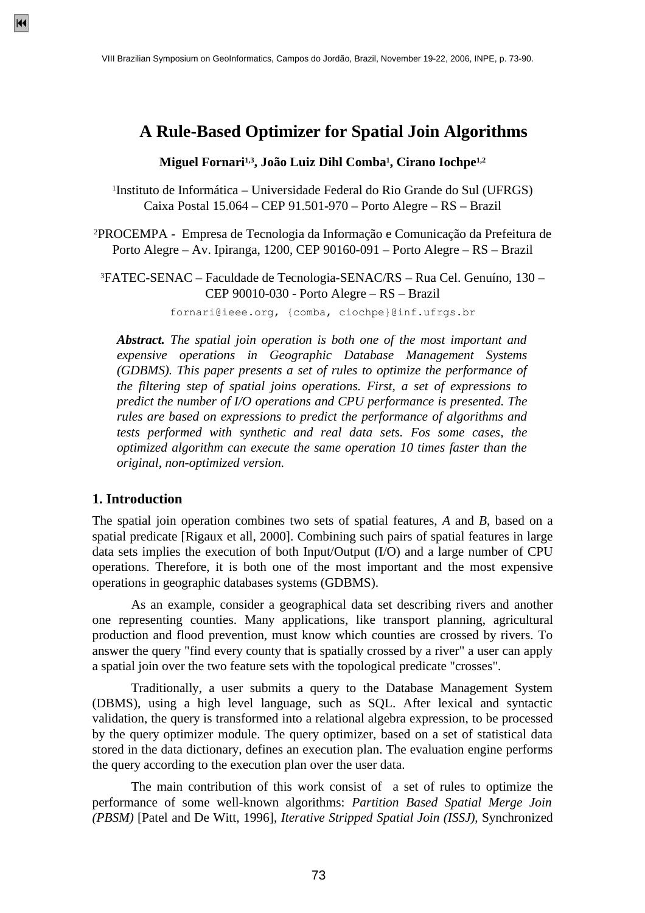# **A Rule-Based Optimizer for Spatial Join Algorithms**

### **Miguel Fornari 1,3 , João Luiz Dihl Comba 1 , Cirano Iochpe 1,2**

1 Instituto de Informática – Universidade Federal do Rio Grande do Sul (UFRGS) Caixa Postal 15.064 – CEP 91.501-970 – Porto Alegre – RS – Brazil

<sup>2</sup>PROCEMPA - Empresa de Tecnologia da Informação e Comunicação da Prefeitura de Porto Alegre – Av. Ipiranga, 1200, CEP 90160-091 – Porto Alegre – RS – Brazil

<sup>3</sup>FATEC-SENAC – Faculdade de Tecnologia-SENAC/RS – Rua Cel. Genuíno, 130 – CEP 90010-030 - Porto Alegre – RS – Brazil

fornari@ieee.org, {comba, ciochpe}@inf.ufrgs.br

*Abstract. The spatial join operation is both one of the most important and expensive operations in Geographic Database Management Systems (GDBMS). This paper presents a set of rules to optimize the performance of the filtering step of spatial joins operations. First, a set of expressions to predict the number of I/O operations and CPU performance is presented. The rules are based on expressions to predict the performance of algorithms and tests performed with synthetic and real data sets. Fos some cases, the optimized algorithm can execute the same operation 10 times faster than the original, non-optimized version.* **74 IF Brazilian Symposium on Georemotics, Campos do Jordão, Internacional Symposium of Algorithms Magnet Formatics, Campo Life (Figure 1974). A Rube-Based Optimizer for Spatial Join Algorithms (The Distribution Heromatic** 

### **1. Introduction**

The spatial join operation combines two sets of spatial features, *A* and *B*, based on a spatial predicate [Rigaux et all, 2000]. Combining such pairs of spatial features in large data sets implies the execution of both Input/Output (I/O) and a large number of CPU operations. Therefore, it is both one of the most important and the most expensive operations in geographic databases systems (GDBMS).

As an example, consider a geographical data set describing rivers and another one representing counties. Many applications, like transport planning, agricultural production and flood prevention, must know which counties are crossed by rivers. To answer the query "find every county that is spatially crossed by a river" a user can apply a spatial join over the two feature sets with the topological predicate "crosses".

Traditionally, a user submits a query to the Database Management System (DBMS), using a high level language, such as SQL. After lexical and syntactic validation, the query is transformed into a relational algebra expression, to be processed by the query optimizer module. The query optimizer, based on a set of statistical data stored in the data dictionary, defines an execution plan. The evaluation engine performs the query according to the execution plan over the user data.

The main contribution of this work consist of a set of rules to optimize the performance of some well-known algorithms: *Partition Based Spatial Merge Join (PBSM)* [Patel and De Witt, 1996], *Iterative Stripped Spatial Join (ISSJ)*, Synchronized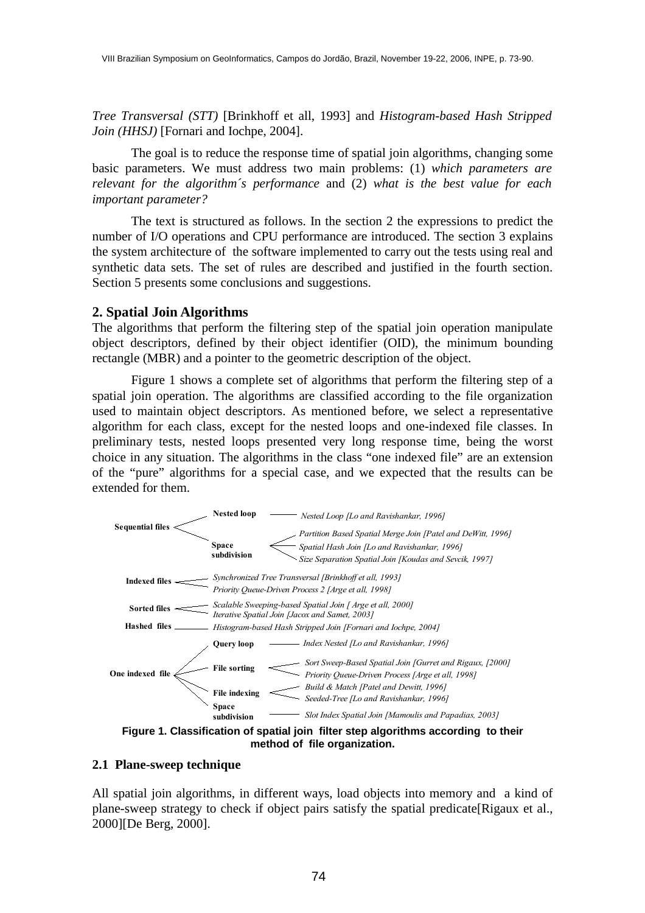*Tree Transversal (STT)* [Brinkhoff et all, 1993] and *Histogram-based Hash Stripped Join (HHSJ)* [Fornari and Iochpe, 2004].

The goal is to reduce the response time of spatial join algorithms, changing some basic parameters. We must address two main problems: (1) *which parameters are relevant for the algorithm´s performance* and (2) *what is the best value for each important parameter?*

The text is structured as follows. In the section 2 the expressions to predict the number of I/O operations and CPU performance are introduced. The section 3 explains the system architecture of the software implemented to carry out the tests using real and synthetic data sets. The set of rules are described and justified in the fourth section. Section 5 presents some conclusions and suggestions.

## **2. Spatial Join Algorithms**

The algorithms that perform the filtering step of the spatial join operation manipulate object descriptors, defined by their object identifier (OID), the minimum bounding rectangle (MBR) and a pointer to the geometric description of the object.

Figure 1 shows a complete set of algorithms that perform the filtering step of a spatial join operation. The algorithms are classified according to the file organization used to maintain object descriptors. As mentioned before, we select a representative algorithm for each class, except for the nested loops and one-indexed file classes. In preliminary tests, nested loops presented very long response time, being the worst choice in any situation. The algorithms in the class "one indexed file" are an extension of the "pure" algorithms for a special case, and we expected that the results can be extended for them.



**Figure 1. Classification of spatial join filter step algorithms according to their method of file organization.**

## **2.1 Plane-sweep technique**

All spatial join algorithms, in different ways, load objects into memory and a kind of plane-sweep strategy to check if object pairs satisfy the spatial predicate[Rigaux et al., 2000][De Berg, 2000].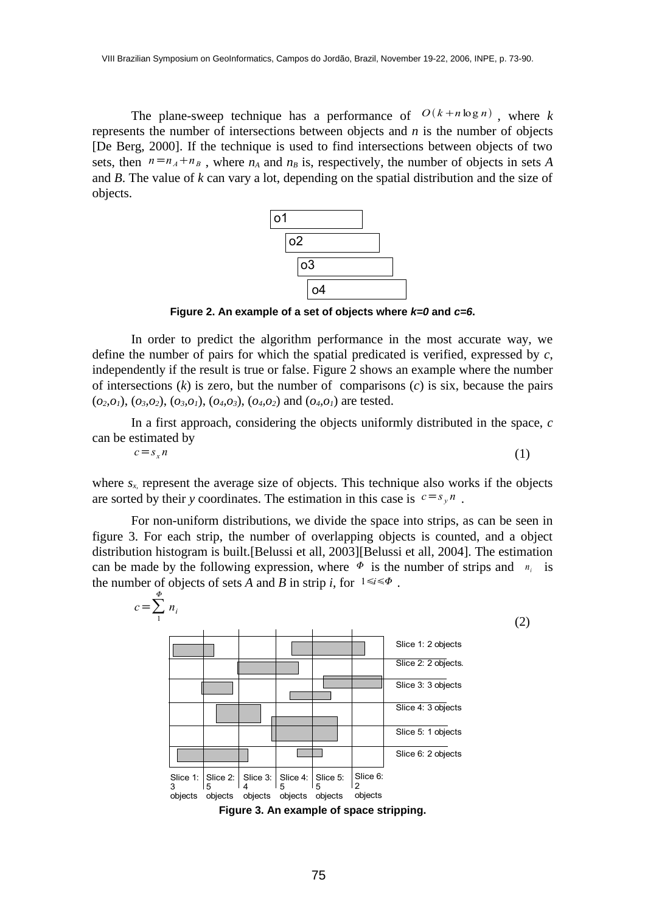The plane-sweep technique has a performance of  $O(k+n\log n)$ , where *k* represents the number of intersections between objects and *n* is the number of objects [De Berg, 2000]. If the technique is used to find intersections between objects of two sets, then  $n=n_A+n_B$ , where  $n_A$  and  $n_B$  is, respectively, the number of objects in sets *A* and *B*. The value of *k* can vary a lot, depending on the spatial distribution and the size of objects.



**Figure 2. An example of a set of objects where k=0 and c=6.**

In order to predict the algorithm performance in the most accurate way, we define the number of pairs for which the spatial predicated is verified, expressed by *c*, independently if the result is true or false. Figure 2 shows an example where the number of intersections  $(k)$  is zero, but the number of comparisons  $(c)$  is six, because the pairs  $(o_2, o_1), (o_3, o_2), (o_3, o_1), (o_4, o_3), (o_4, o_2)$  and  $(o_4, o_1)$  are tested.

In a first approach, considering the objects uniformly distributed in the space, *c* can be estimated by

 $c = s \cdot n$ *n* (1)

where  $s_x$  represent the average size of objects. This technique also works if the objects

are sorted by their *y* coordinates. The estimation in this case is  $c = s_y n$ . For non-uniform distributions, we divide the space into strips, as can be seen in

figure 3. For each strip, the number of overlapping objects is counted, and a object distribution histogram is built.[Belussi et all, 2003][Belussi et all, 2004]. The estimation can be made by the following expression, where  $\Phi$  is the number of strips and  $n_i$  is the number of objects of sets *A* and *B* in strip *i*, for  $1 \le i \le \Phi$ .

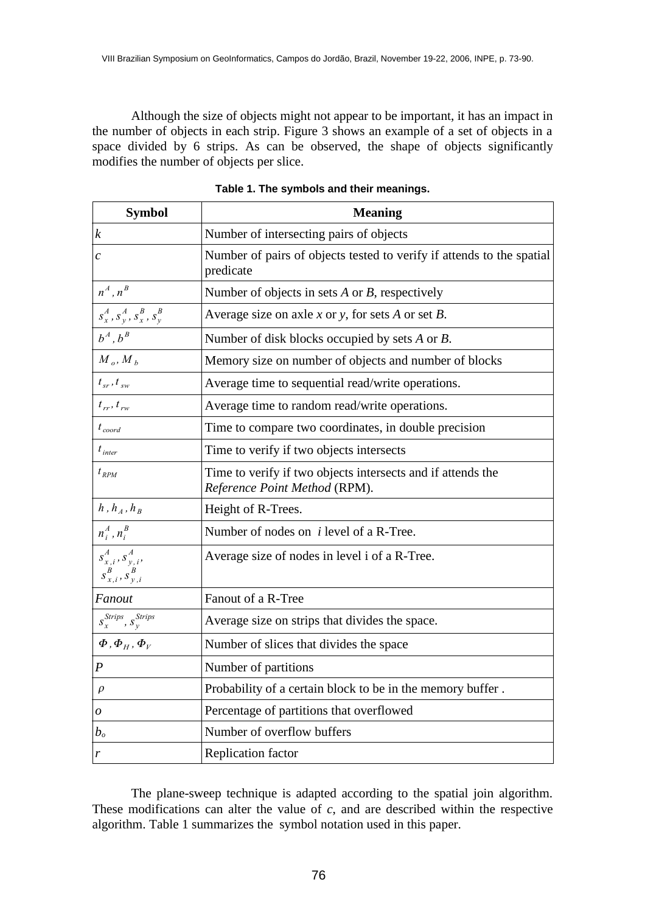|                                                    | Although the size of objects might not appear to be important, it has an impact in<br>the number of objects in each strip. Figure 3 shows an example of a set of objects in a<br>space divided by 6 strips. As can be observed, the shape of objects significantly<br>modifies the number of objects per slice. |  |  |  |
|----------------------------------------------------|-----------------------------------------------------------------------------------------------------------------------------------------------------------------------------------------------------------------------------------------------------------------------------------------------------------------|--|--|--|
|                                                    | Table 1. The symbols and their meanings.                                                                                                                                                                                                                                                                        |  |  |  |
| <b>Symbol</b>                                      | <b>Meaning</b>                                                                                                                                                                                                                                                                                                  |  |  |  |
| $\boldsymbol{k}$                                   | Number of intersecting pairs of objects                                                                                                                                                                                                                                                                         |  |  |  |
| $\mathcal{C}_{0}^{0}$                              | Number of pairs of objects tested to verify if attends to the spatial<br>predicate                                                                                                                                                                                                                              |  |  |  |
| $n^A, n^B$                                         | Number of objects in sets $A$ or $B$ , respectively                                                                                                                                                                                                                                                             |  |  |  |
| $s_x^A$ , $s_y^A$ , $s_x^B$ , $s_y^B$              | Average size on axle x or y, for sets A or set B.                                                                                                                                                                                                                                                               |  |  |  |
| $b^A, b^B$                                         | Number of disk blocks occupied by sets $A$ or $B$ .                                                                                                                                                                                                                                                             |  |  |  |
| M <sub>o</sub> , M <sub>b</sub>                    | Memory size on number of objects and number of blocks                                                                                                                                                                                                                                                           |  |  |  |
| $t_{sr}$ , $t_{sw}$                                | Average time to sequential read/write operations.                                                                                                                                                                                                                                                               |  |  |  |
| $t_{rr}$ , $t_{rw}$                                | Average time to random read/write operations.                                                                                                                                                                                                                                                                   |  |  |  |
| $t_{coord}$                                        | Time to compare two coordinates, in double precision                                                                                                                                                                                                                                                            |  |  |  |
| $t_{\text{inter}}$                                 | Time to verify if two objects intersects                                                                                                                                                                                                                                                                        |  |  |  |
| $t_{RPM}$                                          | Time to verify if two objects intersects and if attends the<br>Reference Point Method (RPM).                                                                                                                                                                                                                    |  |  |  |
| $h$ , $h_A$ , $h_B$                                | Height of R-Trees.                                                                                                                                                                                                                                                                                              |  |  |  |
| $n_i^A, n_i^B$                                     | Number of nodes on <i>i</i> level of a R-Tree.                                                                                                                                                                                                                                                                  |  |  |  |
| $s^A_{x,i}, s^A_{y,i}$<br>$S_{x,i}^B, S_{y,i}^B$   | Average size of nodes in level i of a R-Tree.                                                                                                                                                                                                                                                                   |  |  |  |
| Fanout                                             | Fanout of a R-Tree                                                                                                                                                                                                                                                                                              |  |  |  |
| $S_x^{Strips}$ , $S_y^{Strips}$                    | Average size on strips that divides the space.                                                                                                                                                                                                                                                                  |  |  |  |
| $\Phi$ , $\Phi$ <sub>H</sub> , $\Phi$ <sub>V</sub> | Number of slices that divides the space                                                                                                                                                                                                                                                                         |  |  |  |
| $\overline{P}$                                     | Number of partitions                                                                                                                                                                                                                                                                                            |  |  |  |
| $\rho$                                             | Probability of a certain block to be in the memory buffer.                                                                                                                                                                                                                                                      |  |  |  |
| 0                                                  | Percentage of partitions that overflowed                                                                                                                                                                                                                                                                        |  |  |  |
| $b_o$                                              | Number of overflow buffers                                                                                                                                                                                                                                                                                      |  |  |  |
| r                                                  | <b>Replication factor</b>                                                                                                                                                                                                                                                                                       |  |  |  |

|  |  |  |  |  | Table 1. The symbols and their meanings. |
|--|--|--|--|--|------------------------------------------|
|--|--|--|--|--|------------------------------------------|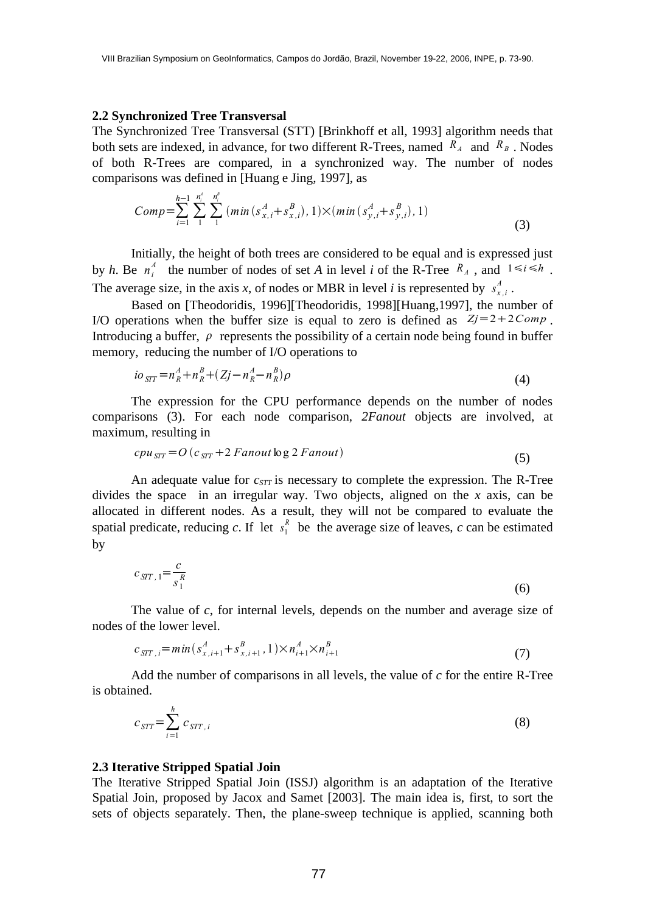#### **2.2 Synchronized Tree Transversal**

The Synchronized Tree Transversal (STT) [Brinkhoff et all, 1993] algorithm needs that both sets are indexed, in advance, for two different R-Trees, named  $R_A$  and  $R_B$ . Nodes of both R-Trees are compared, in a synchronized way. The number of nodes comparisons was defined in [Huang e Jing, 1997], as

Comp=
$$
\sum_{i=1}^{h-1} \sum_{1}^{n_i^4} \sum_{1}^{n_i^8} (min(s_{x,i}^A + s_{x,i}^B), 1) \times (min(s_{y,i}^A + s_{y,i}^B), 1)
$$
\n(3)

Initially, the height of both trees are considered to be equal and is expressed just by *h*. Be  $n_i^A$  the number of nodes of set *A* in level *i* of the R-Tree  $R_A$ , and  $1 \le i \le h$ . The average size, in the axis *x*, of nodes or MBR in level *i* is represented by  $s_{x,i}^4$ .

Based on [Theodoridis, 1996][Theodoridis, 1998][Huang,1997], the number of I/O operations when the buffer size is equal to zero is defined as  $Zj = 2 + 2Comp$ . Introducing a buffer,  $\rho$  represents the possibility of a certain node being found in buffer memory, reducing the number of I/O operations to

$$
io_{STT} = n_R^A + n_R^B + (Zj - n_R^A - n_R^B)\rho
$$
\n(4)

The expression for the CPU performance depends on the number of nodes comparisons (3). For each node comparison, *2Fanout* objects are involved, at maximum, resulting in

$$
cpu_{STT} = O(c_{STT} + 2 Fanout \log 2 Fanout)
$$
\n<sup>(5)</sup>

An adequate value for  $c_{STT}$  is necessary to complete the expression. The R-Tree divides the space in an irregular way. Two objects, aligned on the *x* axis, can be allocated in different nodes. As a result, they will not be compared to evaluate the spatial predicate, reducing *c*. If let  $s_1^R$  be the average size of leaves, *c* can be estimated by 77 The expression of the CFU performation Symposium on Geodennesian Campos (SYP) and the Symposium needs by the Symposium of the Symposium of the Symposium on Symposium on Symposium on Symposium on Symposium on Symposium

$$
c_{STT,1} = \frac{c}{s_1^R} \tag{6}
$$

The value of *c*, for internal levels, depends on the number and average size of nodes of the lower level.

$$
c_{STT,i} = min(s_{x,i+1}^A + s_{x,i+1}^B, 1) \times n_{i+1}^A \times n_{i+1}^B
$$
\n(7)

Add the number of comparisons in all levels, the value of *c* for the entire R-Tree is obtained.

$$
c_{STT} = \sum_{i=1}^{h} c_{STT,i} \tag{8}
$$

### **2.3 Iterative Stripped Spatial Join**

The Iterative Stripped Spatial Join (ISSJ) algorithm is an adaptation of the Iterative Spatial Join, proposed by Jacox and Samet [2003]. The main idea is, first, to sort the sets of objects separately. Then, the plane-sweep technique is applied, scanning both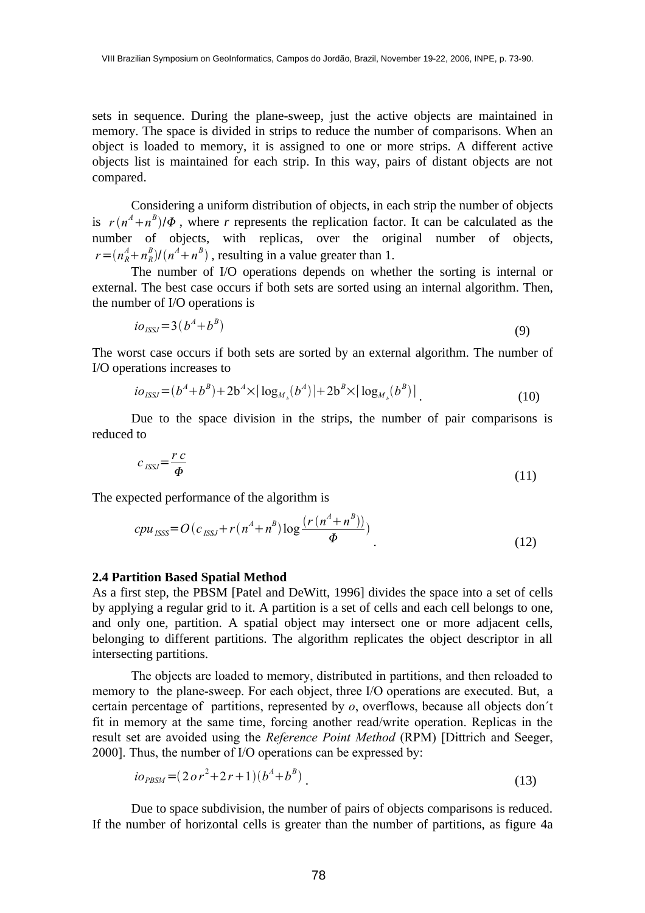sets in sequence. During the plane-sweep, just the active objects are maintained in memory. The space is divided in strips to reduce the number of comparisons. When an object is loaded to memory, it is assigned to one or more strips. A different active objects list is maintained for each strip. In this way, pairs of distant objects are not compared.

Considering a uniform distribution of objects, in each strip the number of objects is  $r(n^4 + n^B)/\Phi$ , where *r* represents the replication factor. It can be calculated as the number of objects, with replicas, over the original number of objects,  $r = (n_R^A + n_R^B) / (n^A + n^B)$ , resulting in a value greater than 1.

The number of I/O operations depends on whether the sorting is internal or external. The best case occurs if both sets are sorted using an internal algorithm. Then, the number of I/O operations is

$$
io_{ISSJ}=3(b^4+b^B)
$$
\n<sup>(9)</sup>

The worst case occurs if both sets are sorted by an external algorithm. The number of I/O operations increases to

$$
i\sigma_{ISSJ} = (b^A + b^B) + 2b^A \times [\log_{M_b}(b^A)] + 2b^B \times [\log_{M_b}(b^B)]
$$
\n(10)

Due to the space division in the strips, the number of pair comparisons is reduced to

$$
c_{ISSJ} = \frac{r c}{\Phi} \tag{11}
$$

The expected performance of the algorithm is

$$
cpu_{JSSS} = O(c_{JSSJ} + r(n^4 + n^8) \log \frac{(r(n^4 + n^8))}{\Phi})
$$
\n(12)

#### **2.4 Partition Based Spatial Method**

As a first step, the PBSM [Patel and DeWitt, 1996] divides the space into a set of cells by applying a regular grid to it. A partition is a set of cells and each cell belongs to one, and only one, partition. A spatial object may intersect one or more adjacent cells, belonging to different partitions. The algorithm replicates the object descriptor in all intersecting partitions.

The objects are loaded to memory, distributed in partitions, and then reloaded to memory to the plane-sweep. For each object, three I/O operations are executed. But, a certain percentage of partitions, represented by *o*, overflows, because all objects don´t fit in memory at the same time, forcing another read/write operation. Replicas in the result set are avoided using the *Reference Point Method* (RPM) [Dittrich and Seeger, 2000]. Thus, the number of I/O operations can be expressed by: 78 Restricts, Symposium on Georiometers, Campos do Jordão, Read, November 19-22, 2006, INFE, p. 73-60.<br>
14 Stip sequence. During the plune-weverp, just the active objects, the mainlaines<br>
connect, The symposize is fortidd

$$
io_{PBSM} = (2 \sigma r^2 + 2r + 1)(b^4 + b^B) \tag{13}
$$

Due to space subdivision, the number of pairs of objects comparisons is reduced. If the number of horizontal cells is greater than the number of partitions, as figure 4a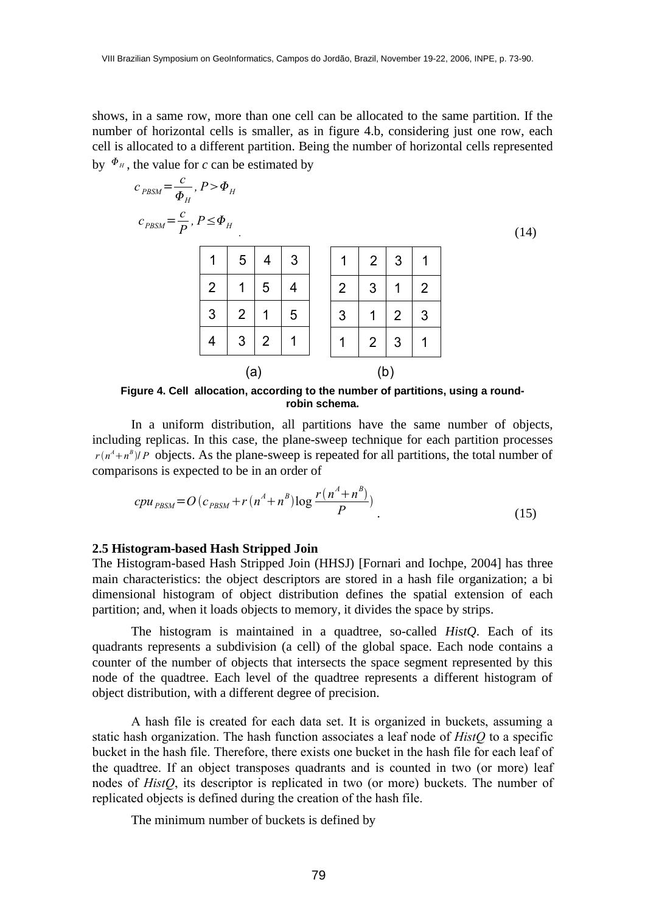shows, in a same row, more than one cell can be allocated to the same partition. If the number of horizontal cells is smaller, as in figure 4.b, considering just one row, each cell is allocated to a different partition. Being the number of horizontal cells represented by  $\Phi$ <sup>*H*</sup>, the value for *c* can be estimated by

VIII Bozallan Symposium on Geohotomatics, Camposoio do Jordão, Brazil, November 19-22, 2006, INPE, p. 73-90.

\nnows, in a same row, more than one cell can be allocated to the same partition. If the number of horizontal cells is smaller, as in figure 4.b, considering just one row, each 
$$
\Phi_n
$$
, the value for can be estimated by  $c_{\text{pr},00} = \frac{c}{\Phi_n}$ ,  $P > \Phi_n$ 

\n $c_{\text{pr},00} = \frac{c}{\rho}$ ,  $P \leq \Phi_n$ 

\n $c_{\text{pr},00} = \frac{c}{\rho}$ ,  $P \leq \Phi_n$ 

\n $c_{\text{pr},00} = \frac{c}{\rho}$ ,  $P \leq \Phi_n$ 

\n $c_{\text{pr},000} = \frac{c}{\rho}$ ,  $P \leq \Phi_n$ 

\n $c_{\text{pr},000} = \frac{c}{\rho}$ ,  $P \leq \Phi_n$ 

\n $c_{\text{pr},000} = \frac{c}{\rho}$ ,  $P \leq \Phi_n$ 

\n $c_{\text{pr},000}$ 

\n**Figure 4. Cell allocation, according to the number of partitions, using a round-robin scheme.**

\n $d$  (a) (b)

\n**Figure 4. Cell allocation, according to the number of partitions, using a round-robin scheme.**

\n $d$  (b) (c)  $d$  (d) (e)  $d$  (e)  $d$  (f)  $d$  (g)  $d$  (h)  $d$  (i)  $d$  (ii)  $d$  (ii)  $d$  (iii)  $d$  (iv)  $d$  (v)  $d$  (v)  $d$  (v)  $d$  (v)  $d$  (

**Figure 4. Cell allocation, according to the number of partitions, using a roundrobin schema.**

In a uniform distribution, all partitions have the same number of objects, including replicas. In this case, the plane-sweep technique for each partition processes  $r(n^4 + n^B)/P$  objects. As the plane-sweep is repeated for all partitions, the total number of comparisons is expected to be in an order of

$$
cpu_{PBSM} = O(c_{PBSM} + r(n^4 + n^B) \log \frac{r(n^4 + n^B)}{P})
$$
\n(15)

#### **2.5 Histogram-based Hash Stripped Join**

The Histogram-based Hash Stripped Join (HHSJ) [Fornari and Iochpe, 2004] has three main characteristics: the object descriptors are stored in a hash file organization; a bi dimensional histogram of object distribution defines the spatial extension of each partition; and, when it loads objects to memory, it divides the space by strips.

The histogram is maintained in a quadtree, so-called *HistQ*. Each of its quadrants represents a subdivision (a cell) of the global space. Each node contains a counter of the number of objects that intersects the space segment represented by this node of the quadtree. Each level of the quadtree represents a different histogram of object distribution, with a different degree of precision.

A hash file is created for each data set. It is organized in buckets, assuming a static hash organization. The hash function associates a leaf node of *HistQ* to a specific bucket in the hash file. Therefore, there exists one bucket in the hash file for each leaf of the quadtree. If an object transposes quadrants and is counted in two (or more) leaf nodes of *HistQ*, its descriptor is replicated in two (or more) buckets. The number of replicated objects is defined during the creation of the hash file.

The minimum number of buckets is defined by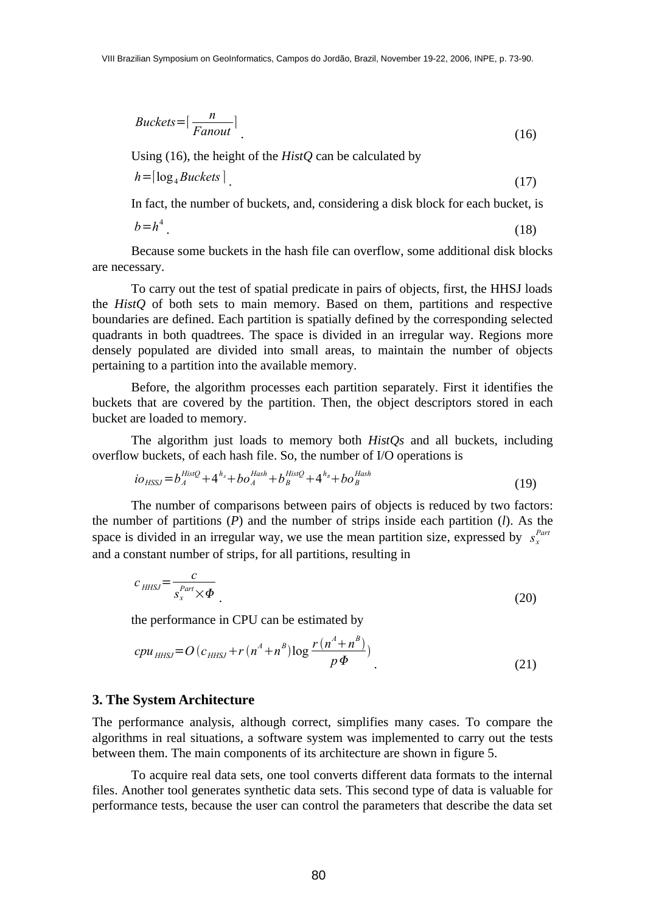$$
Buckets = \lceil \frac{n}{Fanout} \rceil
$$
\n(16)

Using (16), the height of the *HistQ* can be calculated by

$$
h = \left[ \log_4 Buckets \right] \tag{17}
$$

In fact, the number of buckets, and, considering a disk block for each bucket, is  $b=h^4$ .  $(18)$ 

Because some buckets in the hash file can overflow, some additional disk blocks are necessary.

To carry out the test of spatial predicate in pairs of objects, first, the HHSJ loads the *HistQ* of both sets to main memory. Based on them, partitions and respective boundaries are defined. Each partition is spatially defined by the corresponding selected quadrants in both quadtrees. The space is divided in an irregular way. Regions more densely populated are divided into small areas, to maintain the number of objects pertaining to a partition into the available memory. VIII Brazilian Symposium or Georiormatics, Campos do Jordão Brazil, November 19-22, 2006, INPE, P.360<br>
Brocketts =  $\left|\frac{n}{Famow} \right|$ .<br>
Using (16), the height of the *Hiss*() can be calculated by<br>  $h = \left| \log_e Bhckber \right|$ .<br>
In free

Before, the algorithm processes each partition separately. First it identifies the buckets that are covered by the partition. Then, the object descriptors stored in each bucket are loaded to memory.

The algorithm just loads to memory both *HistQs* and all buckets, including overflow buckets, of each hash file. So, the number of I/O operations is

$$
i\sigma_{HSSJ} = b_A^{HistQ} + 4^{h_A} + b\sigma_A^{Hash} + b_B^{HisIQ} + 4^{h_B} + b\sigma_B^{Hash}
$$
\n(19)

The number of comparisons between pairs of objects is reduced by two factors: the number of partitions (*P*) and the number of strips inside each partition (*l*). As the space is divided in an irregular way, we use the mean partition size, expressed by  $s_x^{Part}$ and a constant number of strips, for all partitions, resulting in

$$
c_{\text{HHSJ}} = \frac{c}{s_x^{\text{Part}} \times \Phi} \tag{20}
$$

the performance in CPU can be estimated by

$$
cpu_{HHSJ} = O\left(c_{HHSJ} + r\left(n^A + n^B\right)\log\frac{r\left(n^A + n^B\right)}{p\Phi}\right)
$$
\n<sup>(21)</sup>

### **3. The System Architecture**

The performance analysis, although correct, simplifies many cases. To compare the algorithms in real situations, a software system was implemented to carry out the tests between them. The main components of its architecture are shown in figure 5.

To acquire real data sets, one tool converts different data formats to the internal files. Another tool generates synthetic data sets. This second type of data is valuable for performance tests, because the user can control the parameters that describe the data set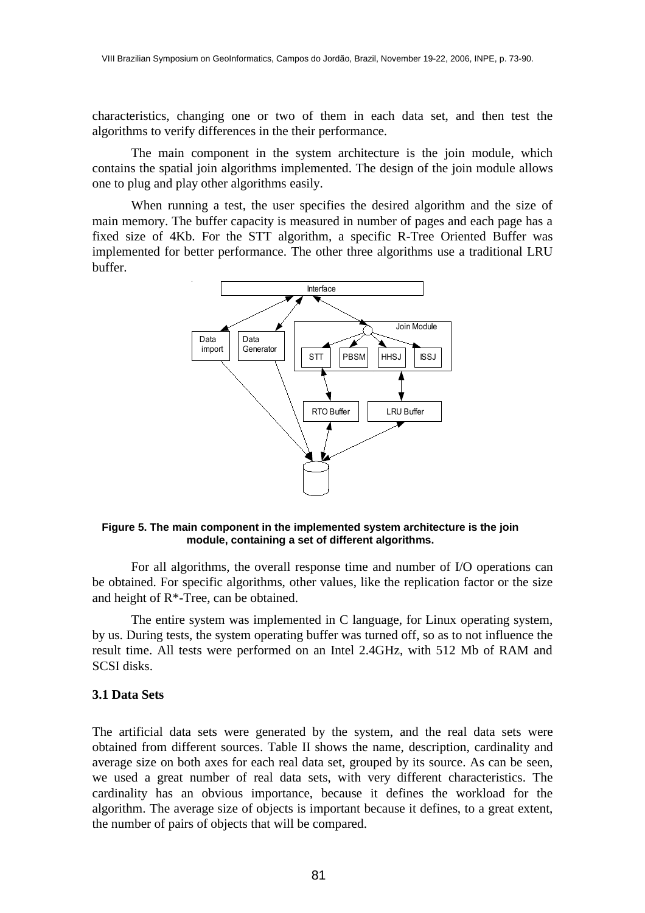characteristics, changing one or two of them in each data set, and then test the algorithms to verify differences in the their performance.

The main component in the system architecture is the join module, which contains the spatial join algorithms implemented. The design of the join module allows one to plug and play other algorithms easily.

When running a test, the user specifies the desired algorithm and the size of main memory. The buffer capacity is measured in number of pages and each page has a fixed size of 4Kb. For the STT algorithm, a specific R-Tree Oriented Buffer was implemented for better performance. The other three algorithms use a traditional LRU buffer.



**Figure 5. The main component in the implemented system architecture is the join module, containing a set of different algorithms.**

For all algorithms, the overall response time and number of I/O operations can be obtained. For specific algorithms, other values, like the replication factor or the size and height of R\*-Tree, can be obtained.

The entire system was implemented in C language, for Linux operating system, by us. During tests, the system operating buffer was turned off, so as to not influence the result time. All tests were performed on an Intel 2.4GHz, with 512 Mb of RAM and SCSI disks.

### **3.1 Data Sets**

The artificial data sets were generated by the system, and the real data sets were obtained from different sources. Table II shows the name, description, cardinality and average size on both axes for each real data set, grouped by its source. As can be seen, we used a great number of real data sets, with very different characteristics. The cardinality has an obvious importance, because it defines the workload for the algorithm. The average size of objects is important because it defines, to a great extent, the number of pairs of objects that will be compared.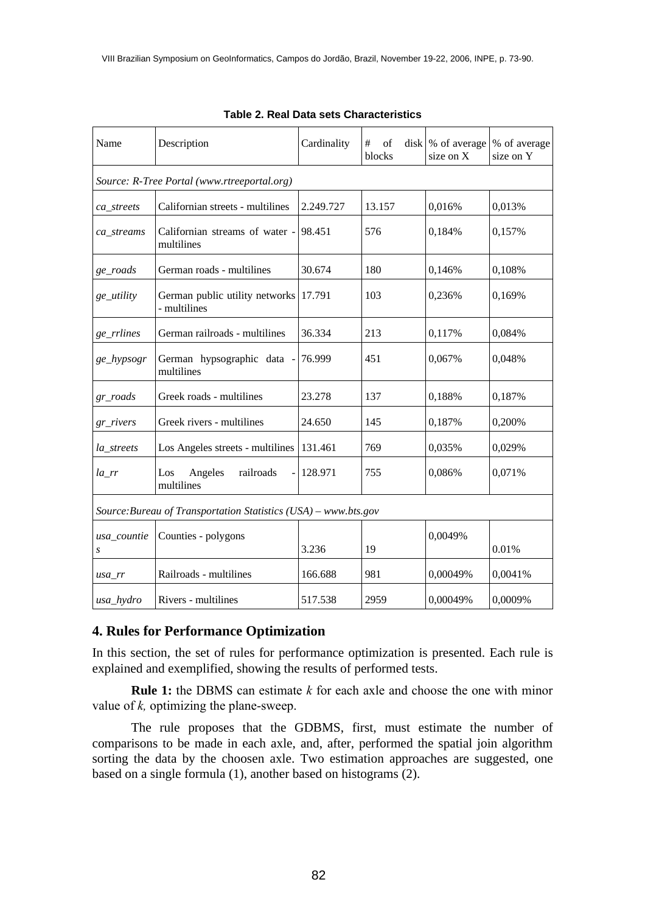| ca_streets<br>ca_streams | Source: R-Tree Portal (www.rtreeportal.org)                                                                                                                                                                                                                                                                            |           | blocks | size on X | size on Y |
|--------------------------|------------------------------------------------------------------------------------------------------------------------------------------------------------------------------------------------------------------------------------------------------------------------------------------------------------------------|-----------|--------|-----------|-----------|
|                          |                                                                                                                                                                                                                                                                                                                        |           |        |           |           |
|                          |                                                                                                                                                                                                                                                                                                                        |           |        |           |           |
|                          | Californian streets - multilines                                                                                                                                                                                                                                                                                       | 2.249.727 | 13.157 | 0,016%    | 0,013%    |
|                          | Californian streams of water -<br>multilines                                                                                                                                                                                                                                                                           | 98.451    | 576    | 0,184%    | 0,157%    |
| ge_roads                 | German roads - multilines                                                                                                                                                                                                                                                                                              | 30.674    | 180    | 0,146%    | 0,108%    |
| ge_utility               | German public utility networks 17.791<br>- multilines                                                                                                                                                                                                                                                                  |           | 103    | 0,236%    | 0,169%    |
| ge_rrlines               | German railroads - multilines                                                                                                                                                                                                                                                                                          | 36.334    | 213    | 0,117%    | 0,084%    |
| ge_hypsogr               | German hypsographic data -<br>multilines                                                                                                                                                                                                                                                                               | 76.999    | 451    | 0,067%    | 0,048%    |
| gr_roads                 | Greek roads - multilines                                                                                                                                                                                                                                                                                               | 23.278    | 137    | 0,188%    | 0,187%    |
| $gr\_rivers$             | Greek rivers - multilines                                                                                                                                                                                                                                                                                              | 24.650    | 145    | 0,187%    | 0,200%    |
| la_streets               | Los Angeles streets - multilines                                                                                                                                                                                                                                                                                       | 131.461   | 769    | 0,035%    | 0,029%    |
| larr                     | Angeles<br>railroads<br>Los<br>multilines                                                                                                                                                                                                                                                                              | 128.971   | 755    | 0,086%    | 0,071%    |
|                          | Source: Bureau of Transportation Statistics (USA) – www.bts.gov                                                                                                                                                                                                                                                        |           |        |           |           |
| usa countie<br>S         | Counties - polygons                                                                                                                                                                                                                                                                                                    | 3.236     | 19     | 0,0049%   | 0.01%     |
| usa_rr                   | Railroads - multilines                                                                                                                                                                                                                                                                                                 | 166.688   | 981    | 0,00049%  | 0,0041%   |
| usa_hydro                | Rivers - multilines                                                                                                                                                                                                                                                                                                    | 517.538   | 2959   | 0,00049%  | 0,0009%   |
|                          | <b>4. Rules for Performance Optimization</b>                                                                                                                                                                                                                                                                           |           |        |           |           |
|                          | In this section, the set of rules for performance optimization is presented. Each rule is<br>explained and exemplified, showing the results of performed tests.                                                                                                                                                        |           |        |           |           |
|                          | <b>Rule 1:</b> the DBMS can estimate $k$ for each axle and choose the one with minor<br>value of $k$ , optimizing the plane-sweep.                                                                                                                                                                                     |           |        |           |           |
|                          | The rule proposes that the GDBMS, first, must estimate the number of<br>comparisons to be made in each axle, and, after, performed the spatial join algorithm<br>sorting the data by the choosen axle. Two estimation approaches are suggested, one<br>based on a single formula (1), another based on histograms (2). |           |        |           |           |

|  |  | Table 2. Real Data sets Characteristics |
|--|--|-----------------------------------------|
|  |  |                                         |

## **4. Rules for Performance Optimization**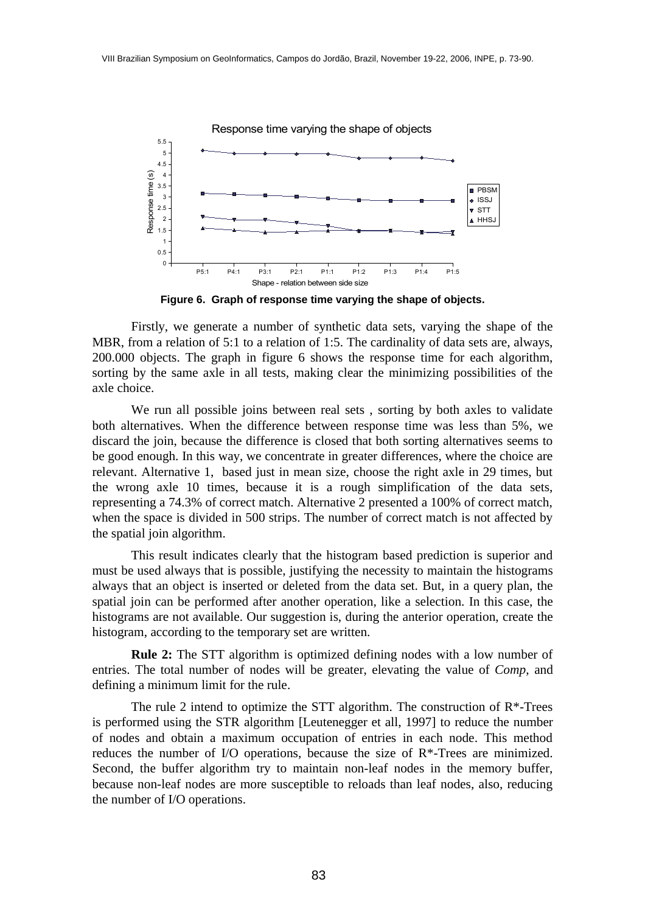

**Figure 6. Graph of response time varying the shape of objects.**

Firstly, we generate a number of synthetic data sets, varying the shape of the MBR, from a relation of 5:1 to a relation of 1:5. The cardinality of data sets are, always, 200.000 objects. The graph in figure 6 shows the response time for each algorithm, sorting by the same axle in all tests, making clear the minimizing possibilities of the axle choice.

We run all possible joins between real sets, sorting by both axles to validate both alternatives. When the difference between response time was less than 5%, we discard the join, because the difference is closed that both sorting alternatives seems to be good enough. In this way, we concentrate in greater differences, where the choice are relevant. Alternative 1, based just in mean size, choose the right axle in 29 times, but the wrong axle 10 times, because it is a rough simplification of the data sets, representing a 74.3% of correct match. Alternative 2 presented a 100% of correct match, when the space is divided in 500 strips. The number of correct match is not affected by the spatial join algorithm.

This result indicates clearly that the histogram based prediction is superior and must be used always that is possible, justifying the necessity to maintain the histograms always that an object is inserted or deleted from the data set. But, in a query plan, the spatial join can be performed after another operation, like a selection. In this case, the histograms are not available. Our suggestion is, during the anterior operation, create the histogram, according to the temporary set are written.

**Rule 2:** The STT algorithm is optimized defining nodes with a low number of entries. The total number of nodes will be greater, elevating the value of *Comp*, and defining a minimum limit for the rule.

The rule 2 intend to optimize the STT algorithm. The construction of  $R^*$ -Trees is performed using the STR algorithm [Leutenegger et all, 1997] to reduce the number of nodes and obtain a maximum occupation of entries in each node. This method reduces the number of I/O operations, because the size of R\*-Trees are minimized. Second, the buffer algorithm try to maintain non-leaf nodes in the memory buffer, because non-leaf nodes are more susceptible to reloads than leaf nodes, also, reducing the number of I/O operations.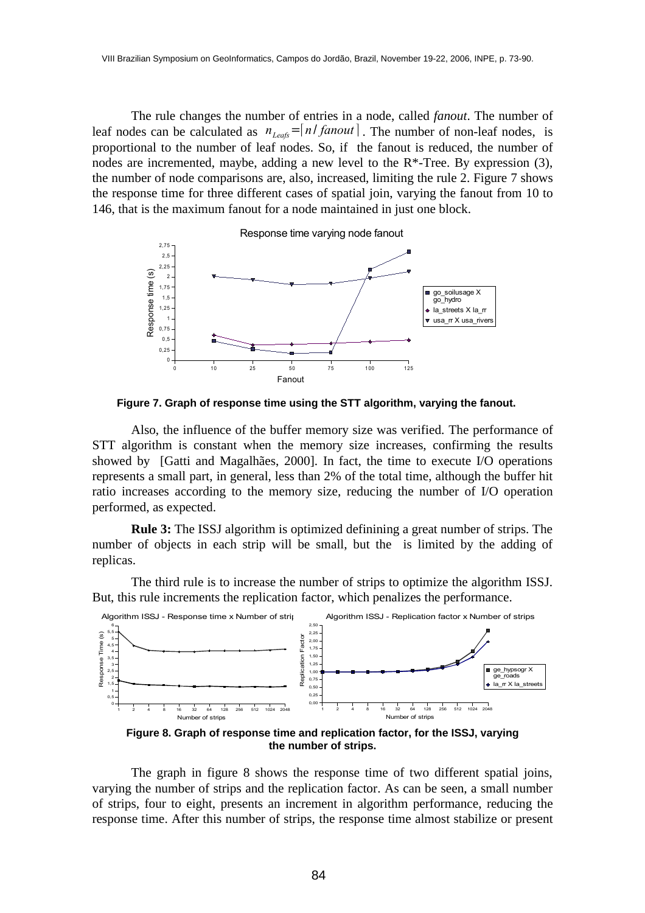The rule changes the number of entries in a node, called *fanout*. The number of leaf nodes can be calculated as  $n_{\text{Leas}} = \lfloor n / \text{fanout} \rfloor$ . The number of non-leaf nodes, is proportional to the number of leaf nodes. So, if the fanout is reduced, the number of nodes are incremented, maybe, adding a new level to the R\*-Tree. By expression (3), the number of node comparisons are, also, increased, limiting the rule 2. Figure 7 shows the response time for three different cases of spatial join, varying the fanout from 10 to 146, that is the maximum fanout for a node maintained in just one block.



**Figure 7. Graph of response time using the STT algorithm, varying the fanout.**

Also, the influence of the buffer memory size was verified. The performance of STT algorithm is constant when the memory size increases, confirming the results showed by [Gatti and Magalhães, 2000]. In fact, the time to execute I/O operations represents a small part, in general, less than 2% of the total time, although the buffer hit ratio increases according to the memory size, reducing the number of I/O operation performed, as expected.

**Rule 3:** The ISSJ algorithm is optimized definining a great number of strips. The number of objects in each strip will be small, but the is limited by the adding of replicas.

The third rule is to increase the number of strips to optimize the algorithm ISSJ. But, this rule increments the replication factor, which penalizes the performance.



**Figure 8. Graph of response time and replication factor, for the ISSJ, varying the number of strips.**

The graph in figure 8 shows the response time of two different spatial joins, varying the number of strips and the replication factor. As can be seen, a small number of strips, four to eight, presents an increment in algorithm performance, reducing the response time. After this number of strips, the response time almost stabilize or present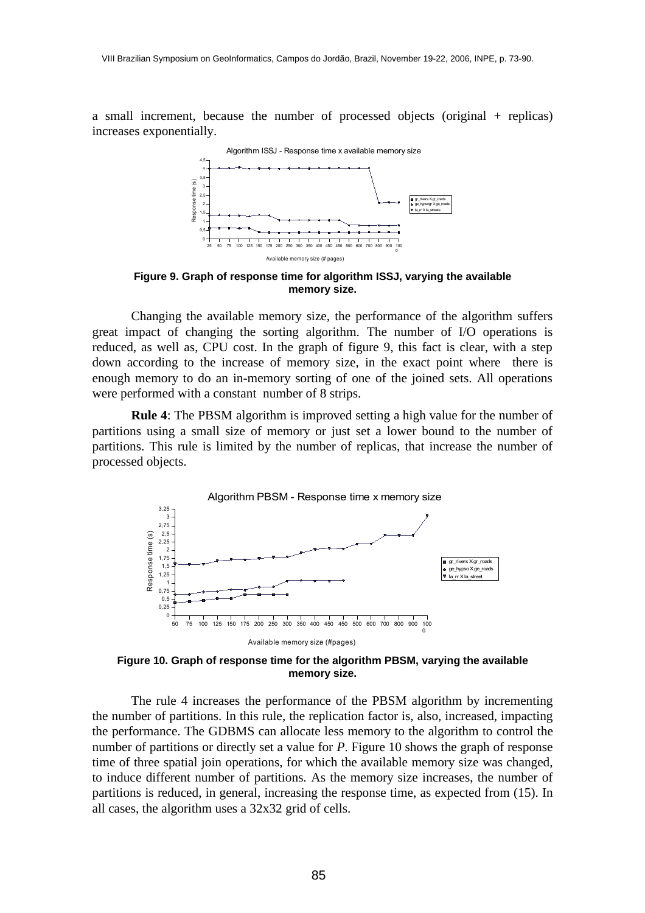a small increment, because the number of processed objects (original + replicas) increases exponentially.



**Figure 9. Graph of response time for algorithm ISSJ, varying the available memory size.**

Changing the available memory size, the performance of the algorithm suffers great impact of changing the sorting algorithm. The number of I/O operations is reduced, as well as, CPU cost. In the graph of figure 9, this fact is clear, with a step down according to the increase of memory size, in the exact point where there is enough memory to do an in-memory sorting of one of the joined sets. All operations were performed with a constant number of 8 strips.

**Rule 4**: The PBSM algorithm is improved setting a high value for the number of partitions using a small size of memory or just set a lower bound to the number of partitions. This rule is limited by the number of replicas, that increase the number of processed objects.



**Figure 10. Graph of response time for the algorithm PBSM, varying the available memory size.**

The rule 4 increases the performance of the PBSM algorithm by incrementing the number of partitions. In this rule, the replication factor is, also, increased, impacting the performance. The GDBMS can allocate less memory to the algorithm to control the number of partitions or directly set a value for *P*. Figure 10 shows the graph of response time of three spatial join operations, for which the available memory size was changed, to induce different number of partitions. As the memory size increases, the number of partitions is reduced, in general, increasing the response time, as expected from (15). In all cases, the algorithm uses a 32x32 grid of cells.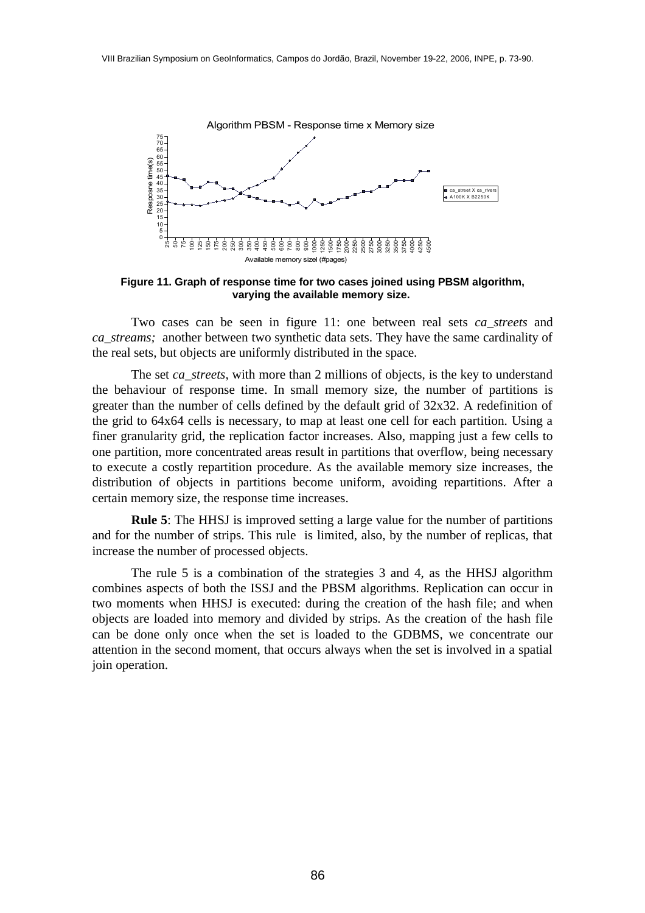

**Figure 11. Graph of response time for two cases joined using PBSM algorithm, varying the available memory size.**

Two cases can be seen in figure 11: one between real sets *ca\_streets* and *ca\_streams;* another between two synthetic data sets. They have the same cardinality of the real sets, but objects are uniformly distributed in the space*.* 

The set *ca\_streets*, with more than 2 millions of objects, is the key to understand the behaviour of response time. In small memory size, the number of partitions is greater than the number of cells defined by the default grid of 32x32. A redefinition of the grid to 64x64 cells is necessary, to map at least one cell for each partition. Using a finer granularity grid, the replication factor increases. Also, mapping just a few cells to one partition, more concentrated areas result in partitions that overflow, being necessary to execute a costly repartition procedure. As the available memory size increases, the distribution of objects in partitions become uniform, avoiding repartitions. After a certain memory size, the response time increases.

**Rule 5**: The HHSJ is improved setting a large value for the number of partitions and for the number of strips. This rule is limited, also, by the number of replicas, that increase the number of processed objects.

The rule 5 is a combination of the strategies 3 and 4, as the HHSJ algorithm combines aspects of both the ISSJ and the PBSM algorithms. Replication can occur in two moments when HHSJ is executed: during the creation of the hash file; and when objects are loaded into memory and divided by strips. As the creation of the hash file can be done only once when the set is loaded to the GDBMS, we concentrate our attention in the second moment, that occurs always when the set is involved in a spatial join operation.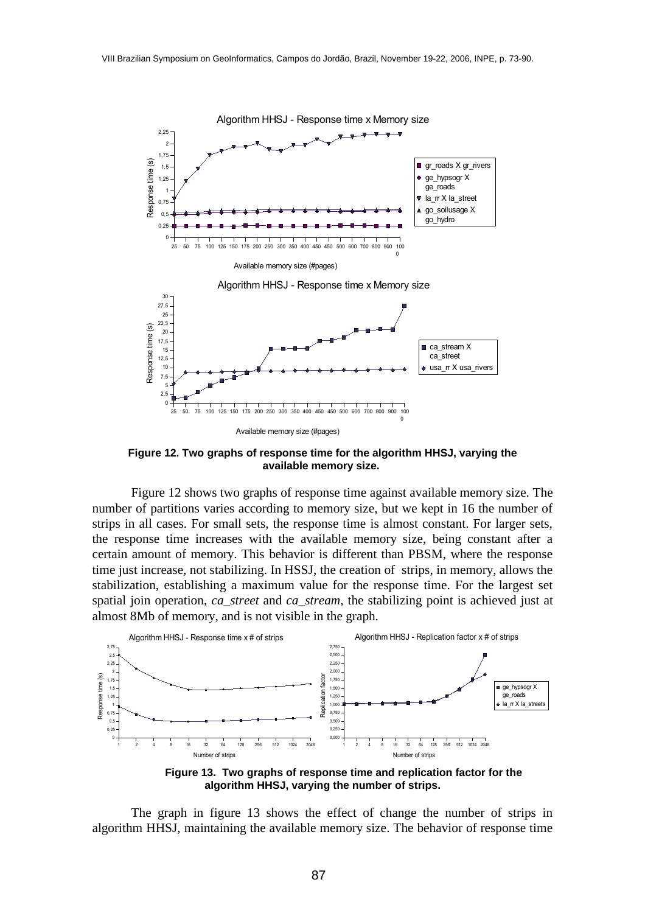

**Figure 12. Two graphs of response time for the algorithm HHSJ, varying the available memory size.**

Figure 12 shows two graphs of response time against available memory size. The number of partitions varies according to memory size, but we kept in 16 the number of strips in all cases. For small sets, the response time is almost constant. For larger sets, the response time increases with the available memory size, being constant after a certain amount of memory. This behavior is different than PBSM, where the response time just increase, not stabilizing. In HSSJ, the creation of strips, in memory, allows the stabilization, establishing a maximum value for the response time. For the largest set spatial join operation, *ca\_street* and *ca\_stream,* the stabilizing point is achieved just at almost 8Mb of memory, and is not visible in the graph.



**algorithm HHSJ, varying the number of strips.**

The graph in figure 13 shows the effect of change the number of strips in algorithm HHSJ, maintaining the available memory size. The behavior of response time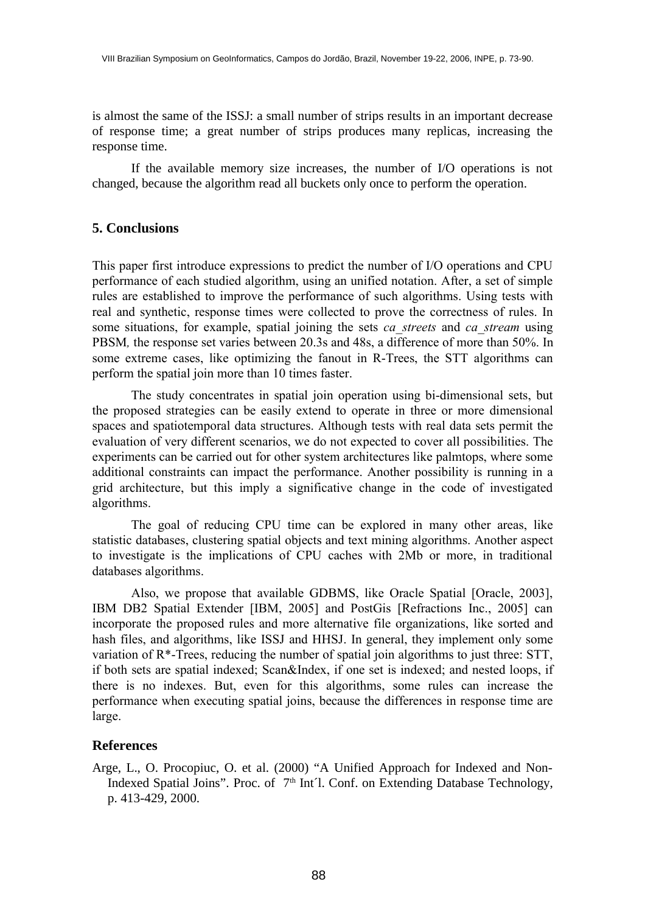is almost the same of the ISSJ: a small number of strips results in an important decrease of response time; a great number of strips produces many replicas, increasing the response time.

If the available memory size increases, the number of I/O operations is not changed, because the algorithm read all buckets only once to perform the operation.

## **5. Conclusions**

This paper first introduce expressions to predict the number of I/O operations and CPU performance of each studied algorithm, using an unified notation. After, a set of simple rules are established to improve the performance of such algorithms. Using tests with real and synthetic, response times were collected to prove the correctness of rules. In some situations, for example, spatial joining the sets *ca\_streets* and *ca\_stream* using PBSM*,* the response set varies between 20.3s and 48s, a difference of more than 50%. In some extreme cases, like optimizing the fanout in R-Trees, the STT algorithms can perform the spatial join more than 10 times faster.

The study concentrates in spatial join operation using bi-dimensional sets, but the proposed strategies can be easily extend to operate in three or more dimensional spaces and spatiotemporal data structures. Although tests with real data sets permit the evaluation of very different scenarios, we do not expected to cover all possibilities. The experiments can be carried out for other system architectures like palmtops, where some additional constraints can impact the performance. Another possibility is running in a grid architecture, but this imply a significative change in the code of investigated algorithms.

The goal of reducing CPU time can be explored in many other areas, like statistic databases, clustering spatial objects and text mining algorithms. Another aspect to investigate is the implications of CPU caches with 2Mb or more, in traditional databases algorithms.

Also, we propose that available GDBMS, like Oracle Spatial [Oracle, 2003], IBM DB2 Spatial Extender [IBM, 2005] and PostGis [Refractions Inc., 2005] can incorporate the proposed rules and more alternative file organizations, like sorted and hash files, and algorithms, like ISSJ and HHSJ. In general, they implement only some variation of R\*-Trees, reducing the number of spatial join algorithms to just three: STT, if both sets are spatial indexed; Scan&Index, if one set is indexed; and nested loops, if there is no indexes. But, even for this algorithms, some rules can increase the performance when executing spatial joins, because the differences in response time are large. VII Brazilian Symposium of Georithments, Campos do Jordão Brazil, November 19-22, 2005, Internsitive Creative Constraines (and II Brazil, 19-19) and the same of the ISSL: a small number of strips results in an important d

## **References**

Arge, L., O. Procopiuc, O. et al. (2000) "A Unified Approach for Indexed and Non-Indexed Spatial Joins". Proc. of 7<sup>th</sup> Int<sup>1</sup>. Conf. on Extending Database Technology, p. 413-429, 2000.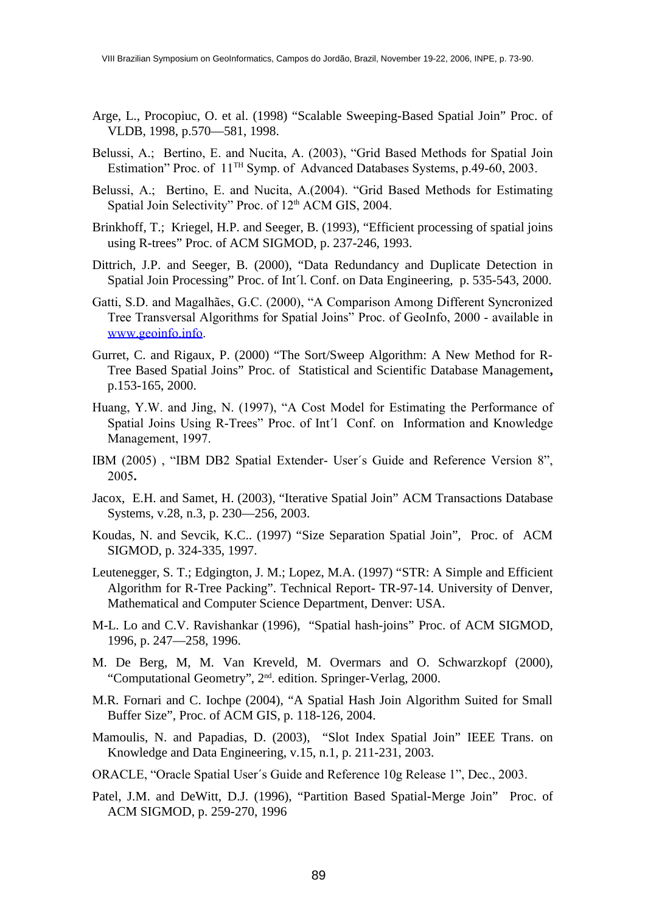- Arge, L., Procopiuc, O. et al. (1998) "Scalable Sweeping-Based Spatial Join" Proc. of VLDB, 1998, p.570—581, 1998.
- Belussi, A.; Bertino, E. and Nucita, A. (2003), "Grid Based Methods for Spatial Join Estimation" Proc. of  $11<sup>TH</sup>$  Symp. of Advanced Databases Systems, p.49-60, 2003.
- Belussi, A.; Bertino, E. and Nucita, A.(2004). "Grid Based Methods for Estimating Spatial Join Selectivity" Proc. of 12<sup>th</sup> ACM GIS, 2004.
- Brinkhoff, T.; Kriegel, H.P. and Seeger, B. (1993), "Efficient processing of spatial joins using R-trees" Proc. of ACM SIGMOD, p. 237-246, 1993.
- Dittrich, J.P. and Seeger, B. (2000), "Data Redundancy and Duplicate Detection in Spatial Join Processing" Proc. of Int´l. Conf. on Data Engineering, p. 535-543, 2000.
- Gatti, S.D. and Magalhães, G.C. (2000), "A Comparison Among Different Syncronized Tree Transversal Algorithms for Spatial Joins" Proc. of GeoInfo, 2000 - available in [www.geoinfo.info.](http://www.geoinfo.info/) VII Brazilian Symposium of Georinmusics, Campos do Jordán Brazil, November 19-22, 2003, INPE, 11-79, 11-79, 11-79, 11-79, 11-79, 11-79, 11-79, 11-79, 11-79, 11-79, 11-79, 11-79, 11-79, 11-79, 11-79, 11-79, 11-79, 11-79, 11
- Gurret, C. and Rigaux, P. (2000) "The Sort/Sweep Algorithm: A New Method for R-Tree Based Spatial Joins" Proc. of Statistical and Scientific Database Management**,** p.153-165, 2000.
- Huang, Y.W. and Jing, N. (1997), "A Cost Model for Estimating the Performance of Spatial Joins Using R-Trees" Proc. of Int´l Conf. on Information and Knowledge Management, 1997.
- IBM (2005) , "IBM DB2 Spatial Extender- User´s Guide and Reference Version 8", 2005**.**
- Jacox, E.H. and Samet, H. (2003), "Iterative Spatial Join" ACM Transactions Database Systems, v.28, n.3, p. 230—256, 2003.
- Koudas, N. and Sevcik, K.C.. (1997) "Size Separation Spatial Join", Proc. of ACM SIGMOD, p. 324-335, 1997.
- Leutenegger, S. T.; Edgington, J. M.; Lopez, M.A. (1997) "STR: A Simple and Efficient Algorithm for R-Tree Packing". Technical Report- TR-97-14. University of Denver, Mathematical and Computer Science Department, Denver: USA.
- M-L. Lo and C.V. Ravishankar (1996), "Spatial hash-joins" Proc. of ACM SIGMOD, 1996, p. 247—258, 1996.
- M. De Berg, M, M. Van Kreveld, M. Overmars and O. Schwarzkopf (2000), "Computational Geometry", 2<sup>nd</sup>. edition. Springer-Verlag, 2000.
- M.R. Fornari and C. Iochpe (2004), "A Spatial Hash Join Algorithm Suited for Small Buffer Size", Proc. of ACM GIS, p. 118-126, 2004.
- Mamoulis, N. and Papadias, D. (2003), "Slot Index Spatial Join" IEEE Trans. on Knowledge and Data Engineering, v.15, n.1, p. 211-231, 2003.
- ORACLE, "Oracle Spatial User´s Guide and Reference 10g Release 1", Dec., 2003.
- Patel, J.M. and DeWitt, D.J. (1996), "Partition Based Spatial-Merge Join" Proc. of ACM SIGMOD, p. 259-270, 1996